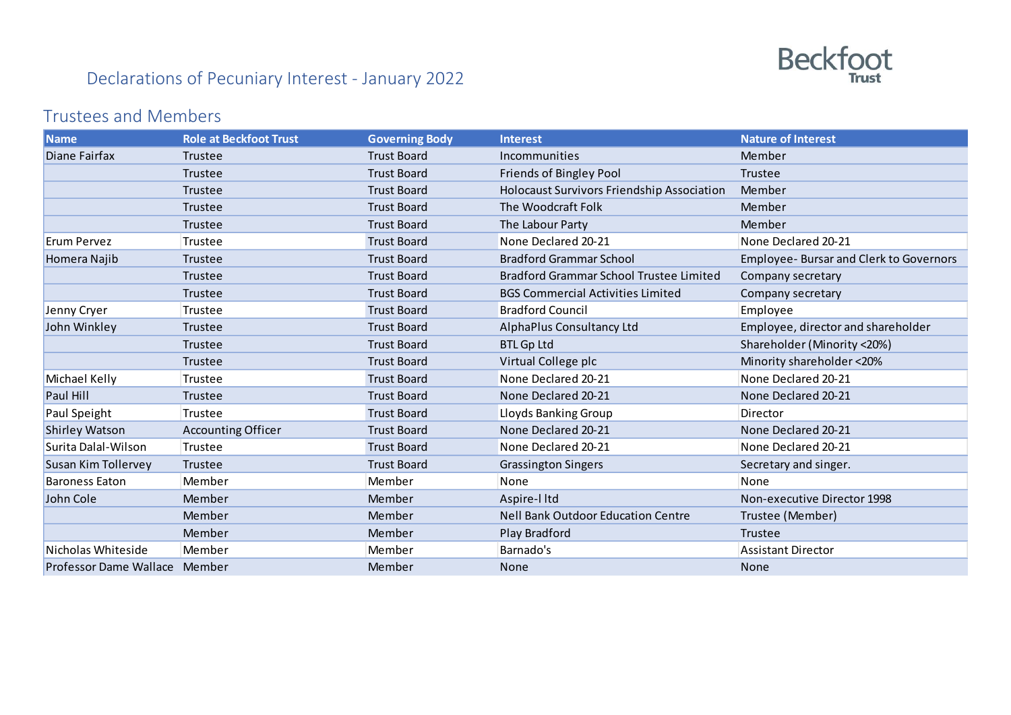

## Declarations of Pecuniary Interest - January 2022

## Trustees and Members

| <b>Name</b>                   | <b>Role at Beckfoot Trust</b> | <b>Governing Body</b> | <b>Interest</b>                                   | <b>Nature of Interest</b>                      |
|-------------------------------|-------------------------------|-----------------------|---------------------------------------------------|------------------------------------------------|
| Diane Fairfax                 | Trustee                       | <b>Trust Board</b>    | Incommunities                                     | Member                                         |
|                               | Trustee                       | <b>Trust Board</b>    | Friends of Bingley Pool                           | Trustee                                        |
|                               | Trustee                       | <b>Trust Board</b>    | <b>Holocaust Survivors Friendship Association</b> | Member                                         |
|                               | Trustee                       | <b>Trust Board</b>    | The Woodcraft Folk                                | Member                                         |
|                               | Trustee                       | <b>Trust Board</b>    | The Labour Party                                  | Member                                         |
| Erum Pervez                   | Trustee                       | <b>Trust Board</b>    | None Declared 20-21                               | None Declared 20-21                            |
| Homera Najib                  | Trustee                       | <b>Trust Board</b>    | <b>Bradford Grammar School</b>                    | <b>Employee- Bursar and Clerk to Governors</b> |
|                               | Trustee                       | <b>Trust Board</b>    | Bradford Grammar School Trustee Limited           | Company secretary                              |
|                               | Trustee                       | <b>Trust Board</b>    | <b>BGS Commercial Activities Limited</b>          | Company secretary                              |
| Jenny Cryer                   | Trustee                       | <b>Trust Board</b>    | <b>Bradford Council</b>                           | Employee                                       |
| John Winkley                  | Trustee                       | <b>Trust Board</b>    | AlphaPlus Consultancy Ltd                         | Employee, director and shareholder             |
|                               | Trustee                       | <b>Trust Board</b>    | <b>BTL Gp Ltd</b>                                 | Shareholder (Minority <20%)                    |
|                               | Trustee                       | <b>Trust Board</b>    | Virtual College plc                               | Minority shareholder <20%                      |
| Michael Kelly                 | Trustee                       | <b>Trust Board</b>    | None Declared 20-21                               | None Declared 20-21                            |
| Paul Hill                     | Trustee                       | <b>Trust Board</b>    | None Declared 20-21                               | None Declared 20-21                            |
| Paul Speight                  | Trustee                       | <b>Trust Board</b>    | Lloyds Banking Group                              | Director                                       |
| <b>Shirley Watson</b>         | <b>Accounting Officer</b>     | <b>Trust Board</b>    | None Declared 20-21                               | None Declared 20-21                            |
| Surita Dalal-Wilson           | Trustee                       | <b>Trust Board</b>    | None Declared 20-21                               | None Declared 20-21                            |
| Susan Kim Tollervey           | Trustee                       | <b>Trust Board</b>    | <b>Grassington Singers</b>                        | Secretary and singer.                          |
| <b>Baroness Eaton</b>         | Member                        | Member                | None                                              | None                                           |
| John Cole                     | Member                        | Member                | Aspire-I Itd                                      | Non-executive Director 1998                    |
|                               | Member                        | Member                | <b>Nell Bank Outdoor Education Centre</b>         | Trustee (Member)                               |
|                               | Member                        | Member                | Play Bradford                                     | Trustee                                        |
| Nicholas Whiteside            | Member                        | Member                | Barnado's                                         | <b>Assistant Director</b>                      |
| Professor Dame Wallace Member |                               | Member                | <b>None</b>                                       | <b>None</b>                                    |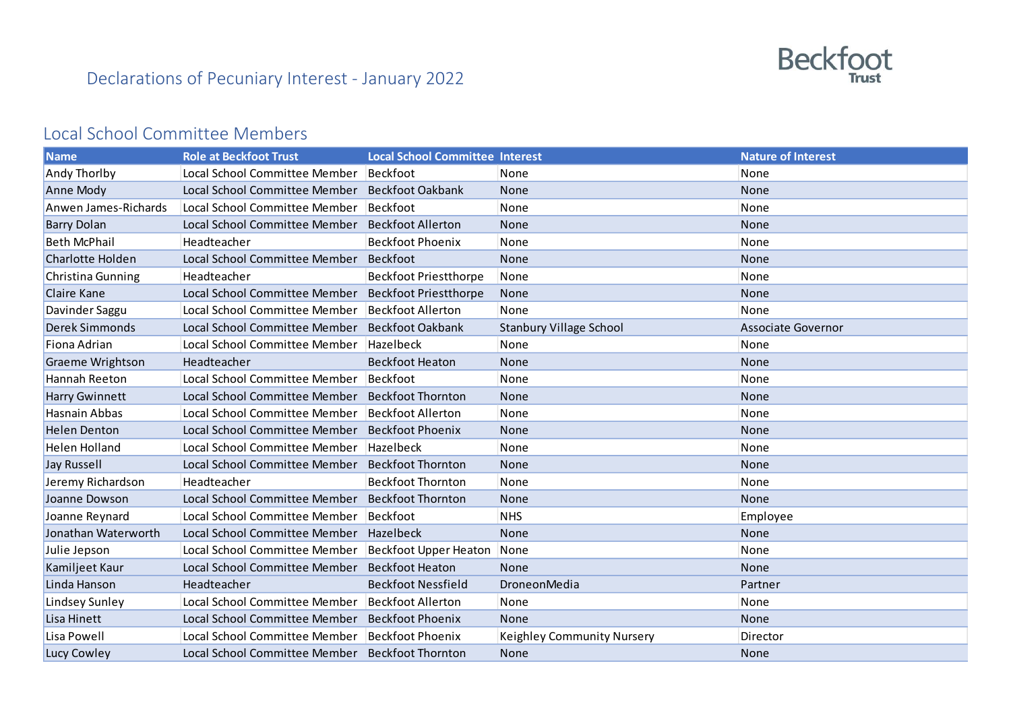

## Local School Committee Members

| <b>Name</b>             | <b>Role at Beckfoot Trust</b> | <b>Local School Committee Interest</b> |                                   | <b>Nature of Interest</b> |
|-------------------------|-------------------------------|----------------------------------------|-----------------------------------|---------------------------|
| <b>Andy Thorlby</b>     | Local School Committee Member | Beckfoot                               | None                              | None                      |
| Anne Mody               | Local School Committee Member | <b>Beckfoot Oakbank</b>                | None                              | None                      |
| Anwen James-Richards    | Local School Committee Member | <b>Beckfoot</b>                        | None                              | None                      |
| <b>Barry Dolan</b>      | Local School Committee Member | <b>Beckfoot Allerton</b>               | None                              | None                      |
| <b>Beth McPhail</b>     | Headteacher                   | <b>Beckfoot Phoenix</b>                | None                              | None                      |
| Charlotte Holden        | Local School Committee Member | Beckfoot                               | None                              | None                      |
| Christina Gunning       | Headteacher                   | <b>Beckfoot Priestthorpe</b>           | None                              | None                      |
| Claire Kane             | Local School Committee Member | <b>Beckfoot Priestthorpe</b>           | None                              | None                      |
| Davinder Saggu          | Local School Committee Member | <b>Beckfoot Allerton</b>               | None                              | None                      |
| Derek Simmonds          | Local School Committee Member | <b>Beckfoot Oakbank</b>                | <b>Stanbury Village School</b>    | <b>Associate Governor</b> |
| Fiona Adrian            | Local School Committee Member | Hazelbeck                              | None                              | None                      |
| <b>Graeme Wrightson</b> | Headteacher                   | <b>Beckfoot Heaton</b>                 | None                              | None                      |
| Hannah Reeton           | Local School Committee Member | Beckfoot                               | None                              | None                      |
| Harry Gwinnett          | Local School Committee Member | <b>Beckfoot Thornton</b>               | <b>None</b>                       | None                      |
| Hasnain Abbas           | Local School Committee Member | <b>Beckfoot Allerton</b>               | None                              | None                      |
| <b>Helen Denton</b>     | Local School Committee Member | <b>Beckfoot Phoenix</b>                | None                              | None                      |
| <b>Helen Holland</b>    | Local School Committee Member | Hazelbeck                              | None                              | None                      |
| <b>Jay Russell</b>      | Local School Committee Member | <b>Beckfoot Thornton</b>               | None                              | None                      |
| Jeremy Richardson       | Headteacher                   | <b>Beckfoot Thornton</b>               | None                              | None                      |
| Joanne Dowson           | Local School Committee Member | <b>Beckfoot Thornton</b>               | None                              | None                      |
| Joanne Reynard          | Local School Committee Member | Beckfoot                               | <b>NHS</b>                        | Employee                  |
| Jonathan Waterworth     | Local School Committee Member | Hazelbeck                              | None                              | None                      |
| Julie Jepson            | Local School Committee Member | <b>Beckfoot Upper Heaton</b>           | None                              | None                      |
| Kamiljeet Kaur          | Local School Committee Member | <b>Beckfoot Heaton</b>                 | None                              | None                      |
| Linda Hanson            | Headteacher                   | <b>Beckfoot Nessfield</b>              | DroneonMedia                      | Partner                   |
| Lindsey Sunley          | Local School Committee Member | <b>Beckfoot Allerton</b>               | None                              | None                      |
| Lisa Hinett             | Local School Committee Member | <b>Beckfoot Phoenix</b>                | None                              | None                      |
| Lisa Powell             | Local School Committee Member | <b>Beckfoot Phoenix</b>                | <b>Keighley Community Nursery</b> | Director                  |
| Lucy Cowley             | Local School Committee Member | <b>Beckfoot Thornton</b>               | <b>None</b>                       | None                      |